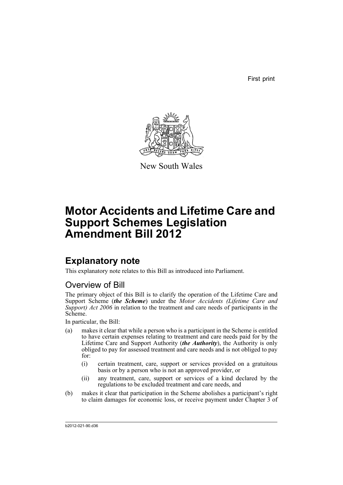First print



New South Wales

# **Motor Accidents and Lifetime Care and Support Schemes Legislation Amendment Bill 2012**

## **Explanatory note**

This explanatory note relates to this Bill as introduced into Parliament.

## Overview of Bill

The primary object of this Bill is to clarify the operation of the Lifetime Care and Support Scheme (*the Scheme*) under the *Motor Accidents (Lifetime Care and Support) Act 2006* in relation to the treatment and care needs of participants in the Scheme.

In particular, the Bill:

- (a) makes it clear that while a person who is a participant in the Scheme is entitled to have certain expenses relating to treatment and care needs paid for by the Lifetime Care and Support Authority (*the Authority*), the Authority is only obliged to pay for assessed treatment and care needs and is not obliged to pay for:
	- (i) certain treatment, care, support or services provided on a gratuitous basis or by a person who is not an approved provider, or
	- (ii) any treatment, care, support or services of a kind declared by the regulations to be excluded treatment and care needs, and
- (b) makes it clear that participation in the Scheme abolishes a participant's right to claim damages for economic loss, or receive payment under Chapter 3 of

b2012-021-90.d36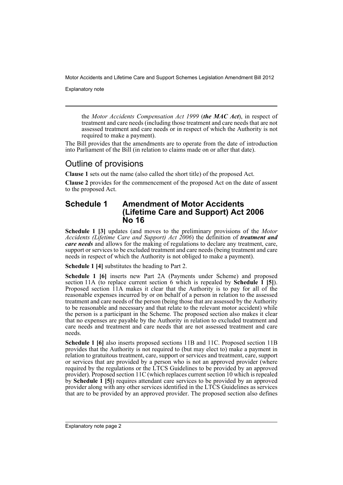Explanatory note

the *Motor Accidents Compensation Act 1999* (*the MAC Act*), in respect of treatment and care needs (including those treatment and care needs that are not assessed treatment and care needs or in respect of which the Authority is not required to make a payment).

The Bill provides that the amendments are to operate from the date of introduction into Parliament of the Bill (in relation to claims made on or after that date).

## Outline of provisions

**Clause 1** sets out the name (also called the short title) of the proposed Act.

**Clause 2** provides for the commencement of the proposed Act on the date of assent to the proposed Act.

#### **Schedule 1 Amendment of Motor Accidents (Lifetime Care and Support) Act 2006 No 16**

**Schedule 1 [3]** updates (and moves to the preliminary provisions of the *Motor Accidents (Lifetime Care and Support) Act 2006*) the definition of *treatment and care needs* and allows for the making of regulations to declare any treatment, care, support or services to be excluded treatment and care needs (being treatment and care needs in respect of which the Authority is not obliged to make a payment).

**Schedule 1 [4]** substitutes the heading to Part 2.

**Schedule 1 [6]** inserts new Part 2A (Payments under Scheme) and proposed section 11A (to replace current section 6 which is repealed by **Schedule 1 [5]**). Proposed section 11A makes it clear that the Authority is to pay for all of the reasonable expenses incurred by or on behalf of a person in relation to the assessed treatment and care needs of the person (being those that are assessed by the Authority to be reasonable and necessary and that relate to the relevant motor accident) while the person is a participant in the Scheme. The proposed section also makes it clear that no expenses are payable by the Authority in relation to excluded treatment and care needs and treatment and care needs that are not assessed treatment and care needs.

**Schedule 1 [6]** also inserts proposed sections 11B and 11C. Proposed section 11B provides that the Authority is not required to (but may elect to) make a payment in relation to gratuitous treatment, care, support or services and treatment, care, support or services that are provided by a person who is not an approved provider (where required by the regulations or the LTCS Guidelines to be provided by an approved provider). Proposed section 11C (which replaces current section 10 which is repealed by **Schedule 1 [5]**) requires attendant care services to be provided by an approved provider along with any other services identified in the LTCS Guidelines as services that are to be provided by an approved provider. The proposed section also defines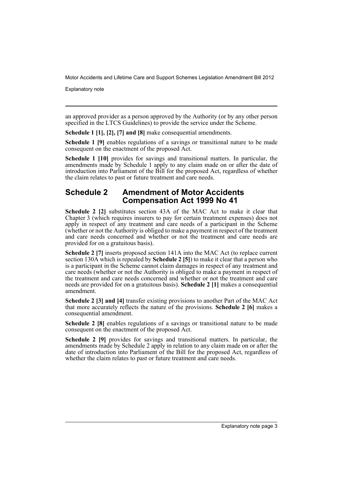Explanatory note

an approved provider as a person approved by the Authority (or by any other person specified in the LTCS Guidelines) to provide the service under the Scheme.

**Schedule 1 [1], [2], [7] and [8]** make consequential amendments.

**Schedule 1 [9]** enables regulations of a savings or transitional nature to be made consequent on the enactment of the proposed Act.

**Schedule 1 [10]** provides for savings and transitional matters. In particular, the amendments made by Schedule 1 apply to any claim made on or after the date of introduction into Parliament of the Bill for the proposed Act, regardless of whether the claim relates to past or future treatment and care needs.

#### **Schedule 2 Amendment of Motor Accidents Compensation Act 1999 No 41**

**Schedule 2 [2]** substitutes section 43A of the MAC Act to make it clear that Chapter 3 (which requires insurers to pay for certain treatment expenses) does not apply in respect of any treatment and care needs of a participant in the Scheme (whether or not the Authority is obliged to make a payment in respect of the treatment and care needs concerned and whether or not the treatment and care needs are provided for on a gratuitous basis).

**Schedule 2 [7]** inserts proposed section 141A into the MAC Act (to replace current section 130A which is repealed by **Schedule 2 [5]**) to make it clear that a person who is a participant in the Scheme cannot claim damages in respect of any treatment and care needs (whether or not the Authority is obliged to make a payment in respect of the treatment and care needs concerned and whether or not the treatment and care needs are provided for on a gratuitous basis). **Schedule 2 [1]** makes a consequential amendment.

**Schedule 2 [3] and [4]** transfer existing provisions to another Part of the MAC Act that more accurately reflects the nature of the provisions. **Schedule 2 [6]** makes a consequential amendment.

**Schedule 2 [8]** enables regulations of a savings or transitional nature to be made consequent on the enactment of the proposed Act.

**Schedule 2 [9]** provides for savings and transitional matters. In particular, the amendments made by Schedule 2 apply in relation to any claim made on or after the date of introduction into Parliament of the Bill for the proposed Act, regardless of whether the claim relates to past or future treatment and care needs.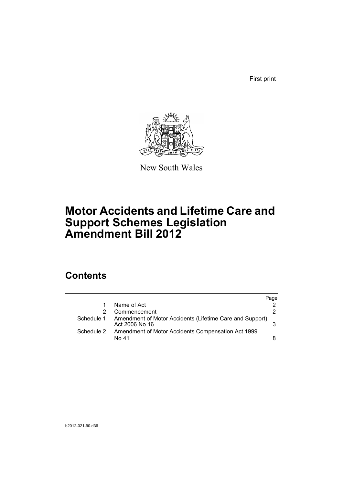First print



New South Wales

# **Motor Accidents and Lifetime Care and Support Schemes Legislation Amendment Bill 2012**

## **Contents**

|            |                                                                            | Page |
|------------|----------------------------------------------------------------------------|------|
|            | Name of Act                                                                |      |
|            | Commencement                                                               | 2    |
| Schedule 1 | Amendment of Motor Accidents (Lifetime Care and Support)<br>Act 2006 No 16 |      |
| Schedule 2 | Amendment of Motor Accidents Compensation Act 1999<br>No 41                | 8    |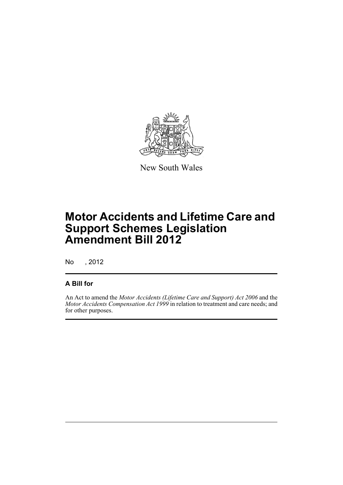

New South Wales

# **Motor Accidents and Lifetime Care and Support Schemes Legislation Amendment Bill 2012**

No , 2012

### **A Bill for**

An Act to amend the *Motor Accidents (Lifetime Care and Support) Act 2006* and the *Motor Accidents Compensation Act 1999* in relation to treatment and care needs; and for other purposes.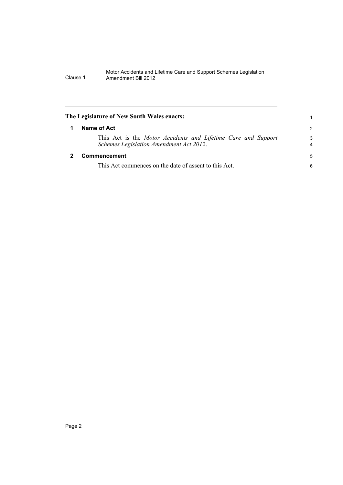<span id="page-7-1"></span><span id="page-7-0"></span>

| The Legislature of New South Wales enacts:                                                               |                     |
|----------------------------------------------------------------------------------------------------------|---------------------|
| Name of Act                                                                                              | 2                   |
| This Act is the Motor Accidents and Lifetime Care and Support<br>Schemes Legislation Amendment Act 2012. | 3<br>$\overline{4}$ |
| Commencement                                                                                             | 5                   |
| This Act commences on the date of assent to this Act.                                                    | 6                   |
|                                                                                                          |                     |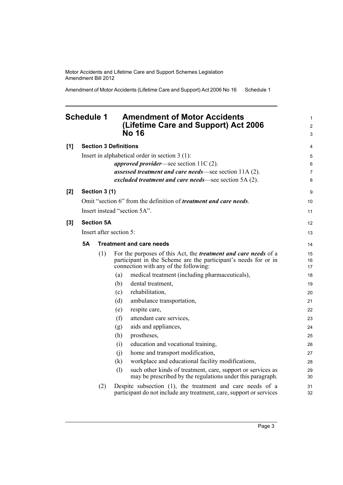Amendment of Motor Accidents (Lifetime Care and Support) Act 2006 No 16 Schedule 1

### <span id="page-8-0"></span>**Schedule 1 Amendment of Motor Accidents (Lifetime Care and Support) Act 2006 No 16**

| [1] |                         |                   | <b>Section 3 Definitions</b>                                                                                                                                                       | 4              |  |
|-----|-------------------------|-------------------|------------------------------------------------------------------------------------------------------------------------------------------------------------------------------------|----------------|--|
|     |                         |                   | Insert in alphabetical order in section $3(1)$ :                                                                                                                                   | 5              |  |
|     |                         |                   | <i>approved provider</i> —see section $11C(2)$ .                                                                                                                                   | 6              |  |
|     |                         |                   | assessed treatment and care needs—see section 11A (2).                                                                                                                             | 7              |  |
|     |                         |                   | excluded treatment and care needs—see section 5A (2).                                                                                                                              | 8              |  |
| [2] |                         | Section 3 (1)     |                                                                                                                                                                                    | 9              |  |
|     |                         |                   | Omit "section 6" from the definition of <i>treatment and care needs</i> .                                                                                                          | 10             |  |
|     |                         |                   | Insert instead "section 5A".                                                                                                                                                       | 11             |  |
| [3] |                         | <b>Section 5A</b> |                                                                                                                                                                                    | 12             |  |
|     | Insert after section 5: |                   |                                                                                                                                                                                    |                |  |
|     | <b>5A</b>               |                   | <b>Treatment and care needs</b>                                                                                                                                                    | 14             |  |
|     |                         | (1)               | For the purposes of this Act, the <i>treatment and care needs</i> of a<br>participant in the Scheme are the participant's needs for or in<br>connection with any of the following: | 15<br>16<br>17 |  |
|     |                         |                   | medical treatment (including pharmaceuticals),<br>(a)                                                                                                                              | 18             |  |
|     |                         |                   | dental treatment,<br>(b)                                                                                                                                                           | 19             |  |
|     |                         |                   | rehabilitation,<br>(c)                                                                                                                                                             | 20             |  |
|     |                         |                   | ambulance transportation,<br>(d)                                                                                                                                                   | 21             |  |
|     |                         |                   | respite care,<br>(e)                                                                                                                                                               | 22             |  |
|     |                         |                   | (f)<br>attendant care services,                                                                                                                                                    | 23             |  |
|     |                         |                   | aids and appliances,<br>(g)                                                                                                                                                        | 24             |  |
|     |                         |                   | (h)<br>prostheses,                                                                                                                                                                 | 25             |  |
|     |                         |                   | education and vocational training,<br>(i)                                                                                                                                          | 26             |  |
|     |                         |                   | home and transport modification,<br>(i)                                                                                                                                            | 27             |  |
|     |                         |                   | workplace and educational facility modifications,<br>(k)                                                                                                                           | 28             |  |
|     |                         |                   | such other kinds of treatment, care, support or services as<br>(1)<br>may be prescribed by the regulations under this paragraph.                                                   | 29<br>30       |  |
|     |                         | (2)               | Despite subsection (1), the treatment and care needs of a<br>participant do not include any treatment, care, support or services                                                   | 31<br>32       |  |

1 2 3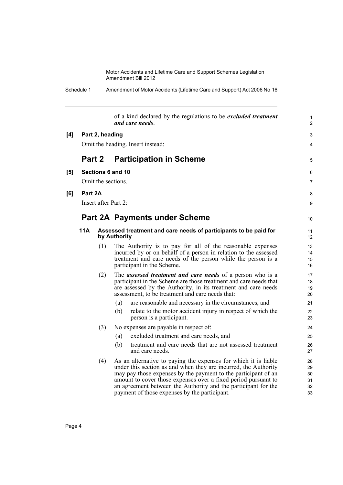| Schedule 1 | Amendment of Motor Accidents (Lifetime Care and Support) Act 2006 No 16 |
|------------|-------------------------------------------------------------------------|
|------------|-------------------------------------------------------------------------|

|     |         |                                   | of a kind declared by the regulations to be <i>excluded treatment</i><br>and care needs.                                                                                                                                                                                                                                                                                                  | $\mathbf{1}$<br>$\overline{2}$   |  |  |  |
|-----|---------|-----------------------------------|-------------------------------------------------------------------------------------------------------------------------------------------------------------------------------------------------------------------------------------------------------------------------------------------------------------------------------------------------------------------------------------------|----------------------------------|--|--|--|
| [4] |         | Part 2, heading                   |                                                                                                                                                                                                                                                                                                                                                                                           | 3                                |  |  |  |
|     |         | Omit the heading. Insert instead: |                                                                                                                                                                                                                                                                                                                                                                                           |                                  |  |  |  |
|     | Part 2  |                                   | <b>Participation in Scheme</b>                                                                                                                                                                                                                                                                                                                                                            | 5                                |  |  |  |
| [5] |         |                                   | Sections 6 and 10<br>Omit the sections.                                                                                                                                                                                                                                                                                                                                                   |                                  |  |  |  |
| [6] | Part 2A |                                   |                                                                                                                                                                                                                                                                                                                                                                                           | 8                                |  |  |  |
|     |         | Insert after Part 2:              |                                                                                                                                                                                                                                                                                                                                                                                           | 9                                |  |  |  |
|     |         |                                   | <b>Part 2A Payments under Scheme</b>                                                                                                                                                                                                                                                                                                                                                      | 10                               |  |  |  |
|     | 11A     |                                   | Assessed treatment and care needs of participants to be paid for<br>by Authority                                                                                                                                                                                                                                                                                                          | 11<br>12                         |  |  |  |
|     |         | (1)                               | The Authority is to pay for all of the reasonable expenses<br>incurred by or on behalf of a person in relation to the assessed<br>treatment and care needs of the person while the person is a<br>participant in the Scheme.                                                                                                                                                              | 13<br>14<br>15<br>16             |  |  |  |
|     |         | (2)                               | The <i>assessed treatment and care needs</i> of a person who is a<br>participant in the Scheme are those treatment and care needs that<br>are assessed by the Authority, in its treatment and care needs<br>assessment, to be treatment and care needs that:                                                                                                                              | 17<br>18<br>19<br>20             |  |  |  |
|     |         |                                   | (a)<br>are reasonable and necessary in the circumstances, and                                                                                                                                                                                                                                                                                                                             | 21                               |  |  |  |
|     |         |                                   | relate to the motor accident injury in respect of which the<br>(b)<br>person is a participant.                                                                                                                                                                                                                                                                                            | 22<br>23                         |  |  |  |
|     |         | (3)                               | No expenses are payable in respect of:                                                                                                                                                                                                                                                                                                                                                    | 24                               |  |  |  |
|     |         |                                   | excluded treatment and care needs, and<br>(a)                                                                                                                                                                                                                                                                                                                                             | 25                               |  |  |  |
|     |         |                                   | (b)<br>treatment and care needs that are not assessed treatment<br>and care needs.                                                                                                                                                                                                                                                                                                        | 26<br>27                         |  |  |  |
|     |         | (4)                               | As an alternative to paying the expenses for which it is liable<br>under this section as and when they are incurred, the Authority<br>may pay those expenses by the payment to the participant of an<br>amount to cover those expenses over a fixed period pursuant to<br>an agreement between the Authority and the participant for the<br>payment of those expenses by the participant. | 28<br>29<br>30<br>31<br>32<br>33 |  |  |  |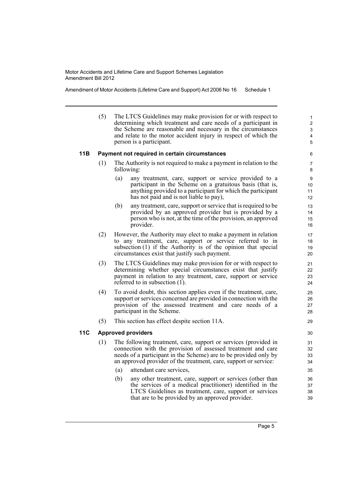Amendment of Motor Accidents (Lifetime Care and Support) Act 2006 No 16 Schedule 1

(5) The LTCS Guidelines may make provision for or with respect to determining which treatment and care needs of a participant in the Scheme are reasonable and necessary in the circumstances and relate to the motor accident injury in respect of which the person is a participant.

#### **11B Payment not required in certain circumstances**

- (1) The Authority is not required to make a payment in relation to the following:
	- (a) any treatment, care, support or service provided to a participant in the Scheme on a gratuitous basis (that is, anything provided to a participant for which the participant has not paid and is not liable to pay),
	- (b) any treatment, care, support or service that is required to be provided by an approved provider but is provided by a person who is not, at the time of the provision, an approved provider.
- (2) However, the Authority may elect to make a payment in relation to any treatment, care, support or service referred to in subsection (1) if the Authority is of the opinion that special circumstances exist that justify such payment.
- (3) The LTCS Guidelines may make provision for or with respect to determining whether special circumstances exist that justify payment in relation to any treatment, care, support or service referred to in subsection (1).
- (4) To avoid doubt, this section applies even if the treatment, care, support or services concerned are provided in connection with the provision of the assessed treatment and care needs of a participant in the Scheme.
- (5) This section has effect despite section 11A.

#### **11C Approved providers**

- (1) The following treatment, care, support or services (provided in connection with the provision of assessed treatment and care needs of a participant in the Scheme) are to be provided only by an approved provider of the treatment, care, support or service:
	- (a) attendant care services,
	- (b) any other treatment, care, support or services (other than the services of a medical practitioner) identified in the LTCS Guidelines as treatment, care, support or services that are to be provided by an approved provider.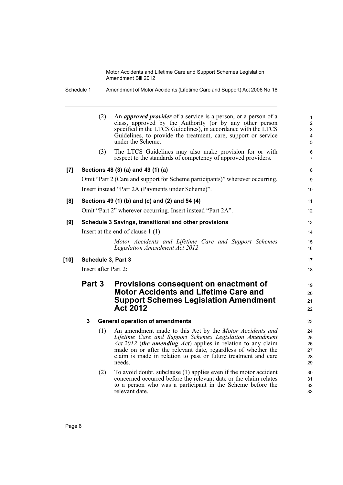|        | Schedule 1                                                  |                                                | Amendment of Motor Accidents (Lifetime Care and Support) Act 2006 No 16                                                                                                                                                                                                                                                          |                                               |  |  |
|--------|-------------------------------------------------------------|------------------------------------------------|----------------------------------------------------------------------------------------------------------------------------------------------------------------------------------------------------------------------------------------------------------------------------------------------------------------------------------|-----------------------------------------------|--|--|
|        |                                                             | (2)                                            | An <i>approved provider</i> of a service is a person, or a person of a<br>class, approved by the Authority (or by any other person<br>specified in the LTCS Guidelines), in accordance with the LTCS<br>Guidelines, to provide the treatment, care, support or service<br>under the Scheme.                                      | $\mathbf{1}$<br>$\overline{2}$<br>3<br>4<br>5 |  |  |
|        |                                                             | (3)                                            | The LTCS Guidelines may also make provision for or with<br>respect to the standards of competency of approved providers.                                                                                                                                                                                                         | 6<br>$\overline{7}$                           |  |  |
| [7]    |                                                             |                                                | Sections 48 (3) (a) and 49 (1) (a)                                                                                                                                                                                                                                                                                               | 8                                             |  |  |
|        |                                                             |                                                | Omit "Part 2 (Care and support for Scheme participants)" wherever occurring.                                                                                                                                                                                                                                                     | 9                                             |  |  |
|        |                                                             |                                                | Insert instead "Part 2A (Payments under Scheme)".                                                                                                                                                                                                                                                                                | 10 <sup>1</sup>                               |  |  |
| [8]    |                                                             | Sections 49 (1) (b) and (c) and (2) and 54 (4) |                                                                                                                                                                                                                                                                                                                                  |                                               |  |  |
|        | Omit "Part 2" wherever occurring. Insert instead "Part 2A". |                                                |                                                                                                                                                                                                                                                                                                                                  |                                               |  |  |
| [9]    |                                                             |                                                | Schedule 3 Savings, transitional and other provisions                                                                                                                                                                                                                                                                            | 13                                            |  |  |
|        | Insert at the end of clause $1(1)$ :                        |                                                |                                                                                                                                                                                                                                                                                                                                  |                                               |  |  |
|        |                                                             |                                                | Motor Accidents and Lifetime Care and Support Schemes<br>Legislation Amendment Act 2012                                                                                                                                                                                                                                          | 15<br>16                                      |  |  |
| $[10]$ |                                                             |                                                | Schedule 3, Part 3                                                                                                                                                                                                                                                                                                               | 17                                            |  |  |
|        | Insert after Part 2:                                        |                                                |                                                                                                                                                                                                                                                                                                                                  |                                               |  |  |
|        |                                                             | Part 3                                         | Provisions consequent on enactment of<br><b>Motor Accidents and Lifetime Care and</b><br><b>Support Schemes Legislation Amendment</b><br><b>Act 2012</b>                                                                                                                                                                         | 19<br>20<br>21<br>22                          |  |  |
|        | 3                                                           |                                                | <b>General operation of amendments</b>                                                                                                                                                                                                                                                                                           | 23                                            |  |  |
|        |                                                             | (1)                                            | An amendment made to this Act by the Motor Accidents and<br>Lifetime Care and Support Schemes Legislation Amendment<br>Act 2012 (the amending Act) applies in relation to any claim<br>made on or after the relevant date, regardless of whether the<br>claim is made in relation to past or future treatment and care<br>needs. | 24<br>25<br>26<br>27<br>28<br>29              |  |  |
|        |                                                             | (2)                                            | To avoid doubt, subclause (1) applies even if the motor accident<br>concerned occurred before the relevant date or the claim relates<br>to a person who was a participant in the Scheme before the<br>relevant date.                                                                                                             | 30<br>31<br>32<br>33                          |  |  |

Page 6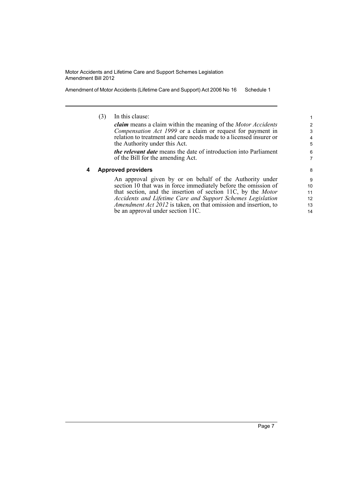Amendment of Motor Accidents (Lifetime Care and Support) Act 2006 No 16 Schedule 1

|   | (3) | In this clause:                                                                                                                 |    |
|---|-----|---------------------------------------------------------------------------------------------------------------------------------|----|
|   |     | <b><i>claim</i></b> means a claim within the meaning of the Motor Accidents                                                     | 2  |
|   |     | Compensation Act 1999 or a claim or request for payment in                                                                      | 3  |
|   |     | relation to treatment and care needs made to a licensed insurer or                                                              | 4  |
|   |     | the Authority under this Act.                                                                                                   | 5  |
|   |     | <i>the relevant date</i> means the date of introduction into Parliament                                                         | 6  |
|   |     | of the Bill for the amending Act.                                                                                               | 7  |
| 4 |     | <b>Approved providers</b>                                                                                                       | 8  |
|   |     |                                                                                                                                 |    |
|   |     |                                                                                                                                 | 9  |
|   |     | An approval given by or on behalf of the Authority under                                                                        | 10 |
|   |     | section 10 that was in force immediately before the omission of<br>that section, and the insertion of section 11C, by the Motor | 11 |
|   |     | Accidents and Lifetime Care and Support Schemes Legislation                                                                     | 12 |
|   |     | Amendment Act 2012 is taken, on that omission and insertion, to                                                                 | 13 |
|   |     | be an approval under section 11C.                                                                                               | 14 |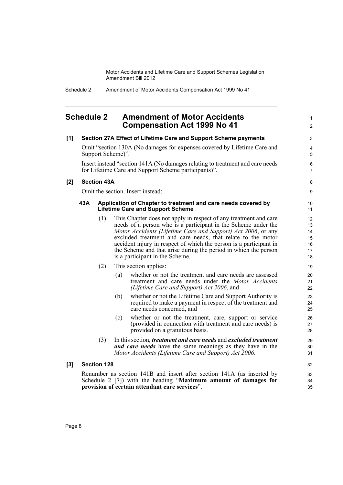> 1 2

### <span id="page-13-0"></span>**Schedule 2 Amendment of Motor Accidents Compensation Act 1999 No 41**

| [1] |                                                                                                                                       |                    |     | Section 27A Effect of Lifetime Care and Support Scheme payments                                                                                                                                                                                                                                                                                                                                                                               | 3                                      |  |
|-----|---------------------------------------------------------------------------------------------------------------------------------------|--------------------|-----|-----------------------------------------------------------------------------------------------------------------------------------------------------------------------------------------------------------------------------------------------------------------------------------------------------------------------------------------------------------------------------------------------------------------------------------------------|----------------------------------------|--|
|     | Omit "section 130A (No damages for expenses covered by Lifetime Care and<br>Support Scheme)".                                         |                    |     |                                                                                                                                                                                                                                                                                                                                                                                                                                               |                                        |  |
|     | Insert instead "section 141A (No damages relating to treatment and care needs<br>for Lifetime Care and Support Scheme participants)". |                    |     |                                                                                                                                                                                                                                                                                                                                                                                                                                               |                                        |  |
| [2] | <b>Section 43A</b>                                                                                                                    |                    |     |                                                                                                                                                                                                                                                                                                                                                                                                                                               |                                        |  |
|     |                                                                                                                                       |                    |     | Omit the section. Insert instead:                                                                                                                                                                                                                                                                                                                                                                                                             | 9                                      |  |
|     | 43A<br>Application of Chapter to treatment and care needs covered by<br><b>Lifetime Care and Support Scheme</b>                       |                    |     | 10<br>11                                                                                                                                                                                                                                                                                                                                                                                                                                      |                                        |  |
|     |                                                                                                                                       | (1)                |     | This Chapter does not apply in respect of any treatment and care<br>needs of a person who is a participant in the Scheme under the<br>Motor Accidents (Lifetime Care and Support) Act 2006, or any<br>excluded treatment and care needs, that relate to the motor<br>accident injury in respect of which the person is a participant in<br>the Scheme and that arise during the period in which the person<br>is a participant in the Scheme. | 12<br>13<br>14<br>15<br>16<br>17<br>18 |  |
|     |                                                                                                                                       | (2)                |     | This section applies:                                                                                                                                                                                                                                                                                                                                                                                                                         | 19                                     |  |
|     |                                                                                                                                       |                    | (a) | whether or not the treatment and care needs are assessed<br>treatment and care needs under the Motor Accidents<br>(Lifetime Care and Support) Act 2006, and                                                                                                                                                                                                                                                                                   | 20<br>21<br>22                         |  |
|     |                                                                                                                                       |                    | (b) | whether or not the Lifetime Care and Support Authority is<br>required to make a payment in respect of the treatment and<br>care needs concerned, and                                                                                                                                                                                                                                                                                          | 23<br>24<br>25                         |  |
|     |                                                                                                                                       |                    | (c) | whether or not the treatment, care, support or service<br>(provided in connection with treatment and care needs) is<br>provided on a gratuitous basis.                                                                                                                                                                                                                                                                                        | 26<br>27<br>28                         |  |
|     |                                                                                                                                       | (3)                |     | In this section, <i>treatment and care needs</i> and <i>excluded treatment</i><br><b>and care needs</b> have the same meanings as they have in the<br>Motor Accidents (Lifetime Care and Support) Act 2006.                                                                                                                                                                                                                                   | 29<br>30<br>31                         |  |
| [3] |                                                                                                                                       | <b>Section 128</b> |     |                                                                                                                                                                                                                                                                                                                                                                                                                                               | 32                                     |  |
|     |                                                                                                                                       |                    |     | Renumber as section 141B and insert after section 141A (as inserted by<br>Schedule 2 [7]) with the heading "Maximum amount of damages for<br>provision of certain attendant care services".                                                                                                                                                                                                                                                   | 33<br>34<br>35                         |  |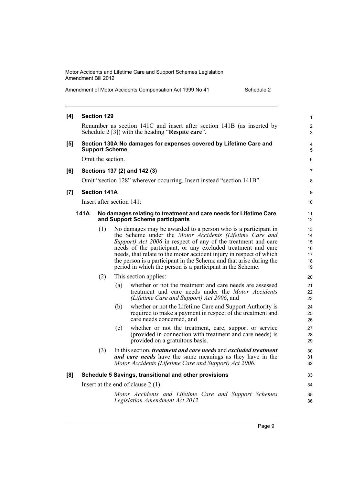Amendment of Motor Accidents Compensation Act 1999 No 41 Schedule 2

| [4] | <b>Section 129</b>                                                                                                         |                     |                                                                                                                                                                                                                                                                                                                                                                                                                                                                       |                                        |  |  |  |
|-----|----------------------------------------------------------------------------------------------------------------------------|---------------------|-----------------------------------------------------------------------------------------------------------------------------------------------------------------------------------------------------------------------------------------------------------------------------------------------------------------------------------------------------------------------------------------------------------------------------------------------------------------------|----------------------------------------|--|--|--|
|     | Renumber as section 141C and insert after section 141B (as inserted by<br>Schedule 2 [3]) with the heading "Respite care". |                     |                                                                                                                                                                                                                                                                                                                                                                                                                                                                       |                                        |  |  |  |
| [5] | Section 130A No damages for expenses covered by Lifetime Care and<br><b>Support Scheme</b>                                 |                     |                                                                                                                                                                                                                                                                                                                                                                                                                                                                       |                                        |  |  |  |
|     | Omit the section.                                                                                                          |                     |                                                                                                                                                                                                                                                                                                                                                                                                                                                                       |                                        |  |  |  |
| [6] |                                                                                                                            |                     | Sections 137 (2) and 142 (3)                                                                                                                                                                                                                                                                                                                                                                                                                                          | $\overline{7}$                         |  |  |  |
|     |                                                                                                                            |                     | Omit "section 128" wherever occurring. Insert instead "section 141B".                                                                                                                                                                                                                                                                                                                                                                                                 | 8                                      |  |  |  |
| [7] |                                                                                                                            | <b>Section 141A</b> |                                                                                                                                                                                                                                                                                                                                                                                                                                                                       | 9                                      |  |  |  |
|     |                                                                                                                            |                     | Insert after section $141$ :                                                                                                                                                                                                                                                                                                                                                                                                                                          | 10                                     |  |  |  |
|     | 141A<br>No damages relating to treatment and care needs for Lifetime Care<br>and Support Scheme participants               |                     |                                                                                                                                                                                                                                                                                                                                                                                                                                                                       | 11<br>12                               |  |  |  |
|     |                                                                                                                            | (1)                 | No damages may be awarded to a person who is a participant in<br>the Scheme under the Motor Accidents (Lifetime Care and<br>Support) Act 2006 in respect of any of the treatment and care<br>needs of the participant, or any excluded treatment and care<br>needs, that relate to the motor accident injury in respect of which<br>the person is a participant in the Scheme and that arise during the<br>period in which the person is a participant in the Scheme. | 13<br>14<br>15<br>16<br>17<br>18<br>19 |  |  |  |
|     |                                                                                                                            | (2)                 | This section applies:                                                                                                                                                                                                                                                                                                                                                                                                                                                 | 20                                     |  |  |  |
|     |                                                                                                                            |                     | whether or not the treatment and care needs are assessed<br>(a)<br>treatment and care needs under the Motor Accidents<br>(Lifetime Care and Support) Act 2006, and                                                                                                                                                                                                                                                                                                    | 21<br>22<br>23                         |  |  |  |
|     |                                                                                                                            |                     | whether or not the Lifetime Care and Support Authority is<br>(b)<br>required to make a payment in respect of the treatment and<br>care needs concerned, and                                                                                                                                                                                                                                                                                                           | 24<br>25<br>26                         |  |  |  |
|     |                                                                                                                            |                     | whether or not the treatment, care, support or service<br>(c)<br>(provided in connection with treatment and care needs) is<br>provided on a gratuitous basis.                                                                                                                                                                                                                                                                                                         | 27<br>28<br>29                         |  |  |  |
|     |                                                                                                                            | (3)                 | In this section, <i>treatment and care needs</i> and <i>excluded treatment</i><br><b>and care needs</b> have the same meanings as they have in the<br>Motor Accidents (Lifetime Care and Support) Act 2006.                                                                                                                                                                                                                                                           | 30<br>31<br>32                         |  |  |  |
| [8] |                                                                                                                            |                     | Schedule 5 Savings, transitional and other provisions                                                                                                                                                                                                                                                                                                                                                                                                                 | 33                                     |  |  |  |
|     |                                                                                                                            |                     | Insert at the end of clause $2(1)$ :                                                                                                                                                                                                                                                                                                                                                                                                                                  | 34                                     |  |  |  |
|     |                                                                                                                            |                     | Motor Accidents and Lifetime Care and Support Schemes<br>Legislation Amendment Act 2012                                                                                                                                                                                                                                                                                                                                                                               | 35<br>36                               |  |  |  |